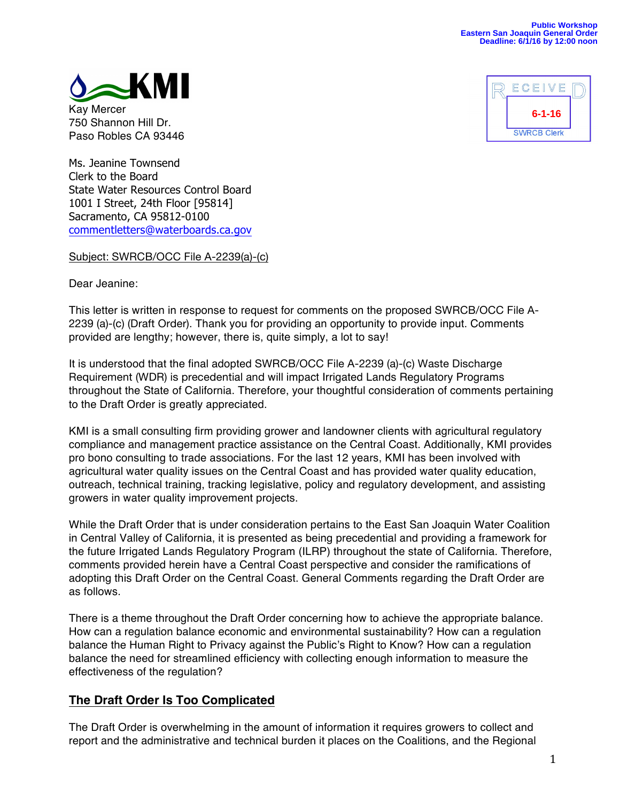

Kay Mercer 750 Shannon Hill Dr. Paso Robles CA 93446



Ms. Jeanine Townsend Clerk to the Board State Water Resources Control Board 1001 I Street, 24th Floor [95814] Sacramento, CA 95812-0100 commentletters@waterboards.ca.gov

Subject: SWRCB/OCC File A-2239(a)-(c)

Dear Jeanine:

This letter is written in response to request for comments on the proposed SWRCB/OCC File A-2239 (a)-(c) (Draft Order). Thank you for providing an opportunity to provide input. Comments provided are lengthy; however, there is, quite simply, a lot to say!

It is understood that the final adopted SWRCB/OCC File A-2239 (a)-(c) Waste Discharge Requirement (WDR) is precedential and will impact Irrigated Lands Regulatory Programs throughout the State of California. Therefore, your thoughtful consideration of comments pertaining to the Draft Order is greatly appreciated.

KMI is a small consulting firm providing grower and landowner clients with agricultural regulatory compliance and management practice assistance on the Central Coast. Additionally, KMI provides pro bono consulting to trade associations. For the last 12 years, KMI has been involved with agricultural water quality issues on the Central Coast and has provided water quality education, outreach, technical training, tracking legislative, policy and regulatory development, and assisting growers in water quality improvement projects.

While the Draft Order that is under consideration pertains to the East San Joaquin Water Coalition in Central Valley of California, it is presented as being precedential and providing a framework for the future Irrigated Lands Regulatory Program (ILRP) throughout the state of California. Therefore, comments provided herein have a Central Coast perspective and consider the ramifications of adopting this Draft Order on the Central Coast. General Comments regarding the Draft Order are as follows.

There is a theme throughout the Draft Order concerning how to achieve the appropriate balance. How can a regulation balance economic and environmental sustainability? How can a regulation balance the Human Right to Privacy against the Public's Right to Know? How can a regulation balance the need for streamlined efficiency with collecting enough information to measure the effectiveness of the regulation?

## **The Draft Order Is Too Complicated**

The Draft Order is overwhelming in the amount of information it requires growers to collect and report and the administrative and technical burden it places on the Coalitions, and the Regional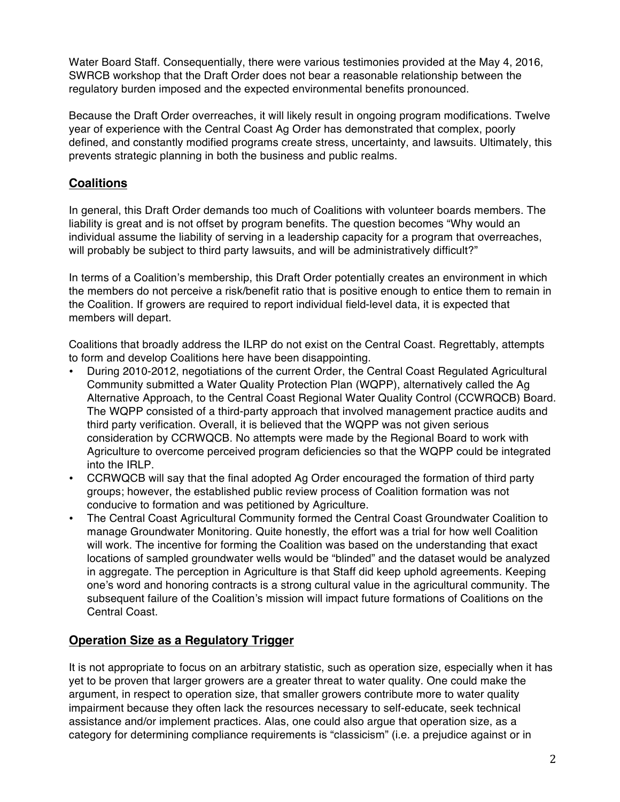Water Board Staff. Consequentially, there were various testimonies provided at the May 4, 2016, SWRCB workshop that the Draft Order does not bear a reasonable relationship between the regulatory burden imposed and the expected environmental benefits pronounced.

Because the Draft Order overreaches, it will likely result in ongoing program modifications. Twelve year of experience with the Central Coast Ag Order has demonstrated that complex, poorly defined, and constantly modified programs create stress, uncertainty, and lawsuits. Ultimately, this prevents strategic planning in both the business and public realms.

# **Coalitions**

In general, this Draft Order demands too much of Coalitions with volunteer boards members. The liability is great and is not offset by program benefits. The question becomes "Why would an individual assume the liability of serving in a leadership capacity for a program that overreaches, will probably be subject to third party lawsuits, and will be administratively difficult?"

In terms of a Coalition's membership, this Draft Order potentially creates an environment in which the members do not perceive a risk/benefit ratio that is positive enough to entice them to remain in the Coalition. If growers are required to report individual field-level data, it is expected that members will depart.

Coalitions that broadly address the ILRP do not exist on the Central Coast. Regrettably, attempts to form and develop Coalitions here have been disappointing.

- During 2010-2012, negotiations of the current Order, the Central Coast Regulated Agricultural Community submitted a Water Quality Protection Plan (WQPP), alternatively called the Ag Alternative Approach, to the Central Coast Regional Water Quality Control (CCWRQCB) Board. The WQPP consisted of a third-party approach that involved management practice audits and third party verification. Overall, it is believed that the WQPP was not given serious consideration by CCRWQCB. No attempts were made by the Regional Board to work with Agriculture to overcome perceived program deficiencies so that the WQPP could be integrated into the IRLP.
- CCRWQCB will say that the final adopted Ag Order encouraged the formation of third party groups; however, the established public review process of Coalition formation was not conducive to formation and was petitioned by Agriculture.
- The Central Coast Agricultural Community formed the Central Coast Groundwater Coalition to manage Groundwater Monitoring. Quite honestly, the effort was a trial for how well Coalition will work. The incentive for forming the Coalition was based on the understanding that exact locations of sampled groundwater wells would be "blinded" and the dataset would be analyzed in aggregate. The perception in Agriculture is that Staff did keep uphold agreements. Keeping one's word and honoring contracts is a strong cultural value in the agricultural community. The subsequent failure of the Coalition's mission will impact future formations of Coalitions on the Central Coast.

## **Operation Size as a Regulatory Trigger**

It is not appropriate to focus on an arbitrary statistic, such as operation size, especially when it has yet to be proven that larger growers are a greater threat to water quality. One could make the argument, in respect to operation size, that smaller growers contribute more to water quality impairment because they often lack the resources necessary to self-educate, seek technical assistance and/or implement practices. Alas, one could also argue that operation size, as a category for determining compliance requirements is "classicism" (i.e. a prejudice against or in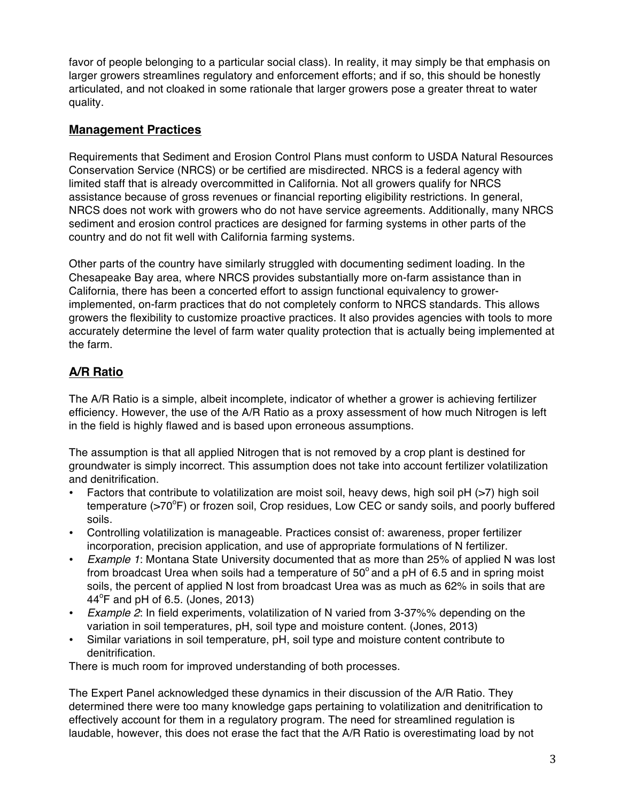favor of people belonging to a particular social class). In reality, it may simply be that emphasis on larger growers streamlines regulatory and enforcement efforts; and if so, this should be honestly articulated, and not cloaked in some rationale that larger growers pose a greater threat to water quality.

## **Management Practices**

Requirements that Sediment and Erosion Control Plans must conform to USDA Natural Resources Conservation Service (NRCS) or be certified are misdirected. NRCS is a federal agency with limited staff that is already overcommitted in California. Not all growers qualify for NRCS assistance because of gross revenues or financial reporting eligibility restrictions. In general, NRCS does not work with growers who do not have service agreements. Additionally, many NRCS sediment and erosion control practices are designed for farming systems in other parts of the country and do not fit well with California farming systems.

Other parts of the country have similarly struggled with documenting sediment loading. In the Chesapeake Bay area, where NRCS provides substantially more on-farm assistance than in California, there has been a concerted effort to assign functional equivalency to growerimplemented, on-farm practices that do not completely conform to NRCS standards. This allows growers the flexibility to customize proactive practices. It also provides agencies with tools to more accurately determine the level of farm water quality protection that is actually being implemented at the farm.

# **A/R Ratio**

The A/R Ratio is a simple, albeit incomplete, indicator of whether a grower is achieving fertilizer efficiency. However, the use of the A/R Ratio as a proxy assessment of how much Nitrogen is left in the field is highly flawed and is based upon erroneous assumptions.

The assumption is that all applied Nitrogen that is not removed by a crop plant is destined for groundwater is simply incorrect. This assumption does not take into account fertilizer volatilization and denitrification.

- Factors that contribute to volatilization are moist soil, heavy dews, high soil pH (>7) high soil temperature (>70°F) or frozen soil, Crop residues, Low CEC or sandy soils, and poorly buffered soils.
- Controlling volatilization is manageable. Practices consist of: awareness, proper fertilizer incorporation, precision application, and use of appropriate formulations of N fertilizer.
- *Example 1*: Montana State University documented that as more than 25% of applied N was lost from broadcast Urea when soils had a temperature of  $50^{\circ}$  and a pH of 6.5 and in spring moist soils, the percent of applied N lost from broadcast Urea was as much as 62% in soils that are  $44^{\circ}$ F and pH of 6.5. (Jones, 2013)
- *Example 2*: In field experiments, volatilization of N varied from 3-37%% depending on the variation in soil temperatures, pH, soil type and moisture content. (Jones, 2013)
- Similar variations in soil temperature, pH, soil type and moisture content contribute to denitrification.

There is much room for improved understanding of both processes.

The Expert Panel acknowledged these dynamics in their discussion of the A/R Ratio. They determined there were too many knowledge gaps pertaining to volatilization and denitrification to effectively account for them in a regulatory program. The need for streamlined regulation is laudable, however, this does not erase the fact that the A/R Ratio is overestimating load by not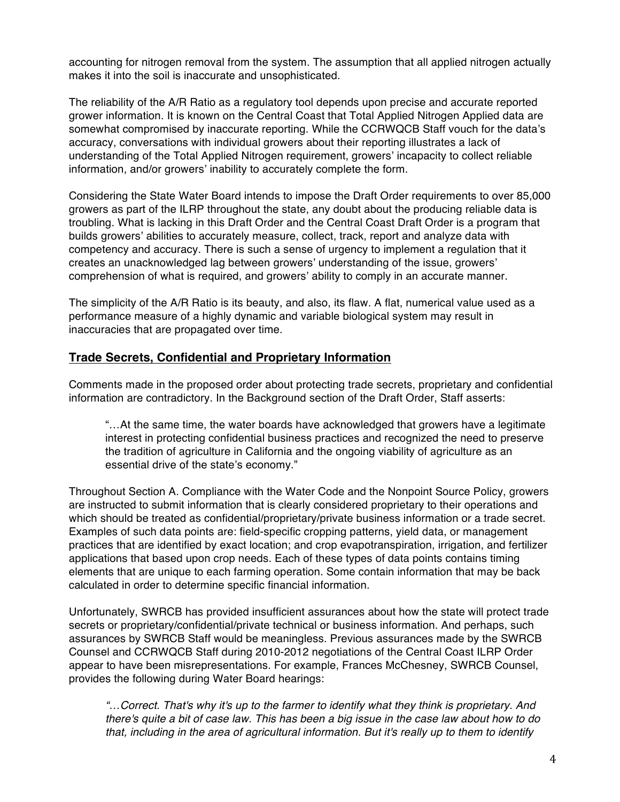accounting for nitrogen removal from the system. The assumption that all applied nitrogen actually makes it into the soil is inaccurate and unsophisticated.

The reliability of the A/R Ratio as a regulatory tool depends upon precise and accurate reported grower information. It is known on the Central Coast that Total Applied Nitrogen Applied data are somewhat compromised by inaccurate reporting. While the CCRWQCB Staff vouch for the data's accuracy, conversations with individual growers about their reporting illustrates a lack of understanding of the Total Applied Nitrogen requirement, growers' incapacity to collect reliable information, and/or growers' inability to accurately complete the form.

Considering the State Water Board intends to impose the Draft Order requirements to over 85,000 growers as part of the ILRP throughout the state, any doubt about the producing reliable data is troubling. What is lacking in this Draft Order and the Central Coast Draft Order is a program that builds growers' abilities to accurately measure, collect, track, report and analyze data with competency and accuracy. There is such a sense of urgency to implement a regulation that it creates an unacknowledged lag between growers' understanding of the issue, growers' comprehension of what is required, and growers' ability to comply in an accurate manner.

The simplicity of the A/R Ratio is its beauty, and also, its flaw. A flat, numerical value used as a performance measure of a highly dynamic and variable biological system may result in inaccuracies that are propagated over time.

## **Trade Secrets, Confidential and Proprietary Information**

Comments made in the proposed order about protecting trade secrets, proprietary and confidential information are contradictory. In the Background section of the Draft Order, Staff asserts:

"…At the same time, the water boards have acknowledged that growers have a legitimate interest in protecting confidential business practices and recognized the need to preserve the tradition of agriculture in California and the ongoing viability of agriculture as an essential drive of the state's economy."

Throughout Section A. Compliance with the Water Code and the Nonpoint Source Policy, growers are instructed to submit information that is clearly considered proprietary to their operations and which should be treated as confidential/proprietary/private business information or a trade secret. Examples of such data points are: field-specific cropping patterns, yield data, or management practices that are identified by exact location; and crop evapotranspiration, irrigation, and fertilizer applications that based upon crop needs. Each of these types of data points contains timing elements that are unique to each farming operation. Some contain information that may be back calculated in order to determine specific financial information.

Unfortunately, SWRCB has provided insufficient assurances about how the state will protect trade secrets or proprietary/confidential/private technical or business information. And perhaps, such assurances by SWRCB Staff would be meaningless. Previous assurances made by the SWRCB Counsel and CCRWQCB Staff during 2010-2012 negotiations of the Central Coast ILRP Order appear to have been misrepresentations. For example, Frances McChesney, SWRCB Counsel, provides the following during Water Board hearings:

*"…Correct. That's why it's up to the farmer to identify what they think is proprietary. And there's quite a bit of case law. This has been a big issue in the case law about how to do that, including in the area of agricultural information. But it's really up to them to identify*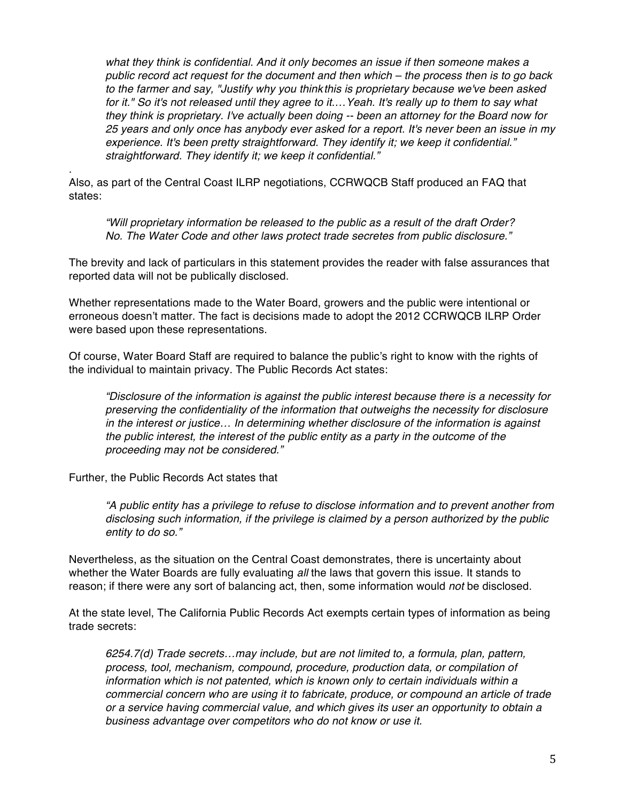*what they think is confidential. And it only becomes an issue if then someone makes a public record act request for the document and then which – the process then is to go back to the farmer and say, "Justify why you thinkthis is proprietary because we've been asked for it." So it's not released until they agree to it.…Yeah. It's really up to them to say what they think is proprietary. I've actually been doing -- been an attorney for the Board now for 25 years and only once has anybody ever asked for a report. It's never been an issue in my experience. It's been pretty straightforward. They identify it; we keep it confidential." straightforward. They identify it; we keep it confidential."*

. Also, as part of the Central Coast ILRP negotiations, CCRWQCB Staff produced an FAQ that states:

*"Will proprietary information be released to the public as a result of the draft Order? No. The Water Code and other laws protect trade secretes from public disclosure."*

The brevity and lack of particulars in this statement provides the reader with false assurances that reported data will not be publically disclosed.

Whether representations made to the Water Board, growers and the public were intentional or erroneous doesn't matter. The fact is decisions made to adopt the 2012 CCRWQCB ILRP Order were based upon these representations.

Of course, Water Board Staff are required to balance the public's right to know with the rights of the individual to maintain privacy. The Public Records Act states:

*"Disclosure of the information is against the public interest because there is a necessity for preserving the confidentiality of the information that outweighs the necessity for disclosure in the interest or justice… In determining whether disclosure of the information is against the public interest, the interest of the public entity as a party in the outcome of the proceeding may not be considered."* 

Further, the Public Records Act states that

*"A public entity has a privilege to refuse to disclose information and to prevent another from disclosing such information, if the privilege is claimed by a person authorized by the public entity to do so."*

Nevertheless, as the situation on the Central Coast demonstrates, there is uncertainty about whether the Water Boards are fully evaluating *all* the laws that govern this issue. It stands to reason; if there were any sort of balancing act, then, some information would *not* be disclosed.

At the state level, The California Public Records Act exempts certain types of information as being trade secrets:

*6254.7(d) Trade secrets…may include, but are not limited to, a formula, plan, pattern, process, tool, mechanism, compound, procedure, production data, or compilation of information which is not patented, which is known only to certain individuals within a commercial concern who are using it to fabricate, produce, or compound an article of trade or a service having commercial value, and which gives its user an opportunity to obtain a business advantage over competitors who do not know or use it.*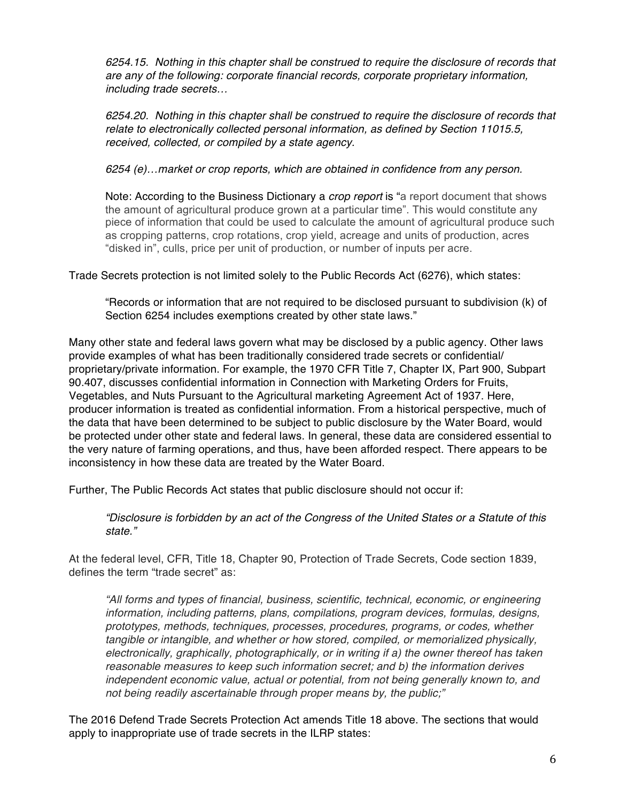*6254.15. Nothing in this chapter shall be construed to require the disclosure of records that are any of the following: corporate financial records, corporate proprietary information, including trade secrets…*

*6254.20. Nothing in this chapter shall be construed to require the disclosure of records that relate to electronically collected personal information, as defined by Section 11015.5, received, collected, or compiled by a state agency.*

*6254 (e)…market or crop reports, which are obtained in confidence from any person.*

Note: According to the Business Dictionary a *crop report* is "a report document that shows the amount of agricultural produce grown at a particular time". This would constitute any piece of information that could be used to calculate the amount of agricultural produce such as cropping patterns, crop rotations, crop yield, acreage and units of production, acres "disked in", culls, price per unit of production, or number of inputs per acre.

Trade Secrets protection is not limited solely to the Public Records Act (6276), which states:

"Records or information that are not required to be disclosed pursuant to subdivision (k) of Section 6254 includes exemptions created by other state laws."

Many other state and federal laws govern what may be disclosed by a public agency. Other laws provide examples of what has been traditionally considered trade secrets or confidential/ proprietary/private information. For example, the 1970 CFR Title 7, Chapter IX, Part 900, Subpart 90.407, discusses confidential information in Connection with Marketing Orders for Fruits, Vegetables, and Nuts Pursuant to the Agricultural marketing Agreement Act of 1937. Here, producer information is treated as confidential information. From a historical perspective, much of the data that have been determined to be subject to public disclosure by the Water Board, would be protected under other state and federal laws. In general, these data are considered essential to the very nature of farming operations, and thus, have been afforded respect. There appears to be inconsistency in how these data are treated by the Water Board.

Further, The Public Records Act states that public disclosure should not occur if:

*"Disclosure is forbidden by an act of the Congress of the United States or a Statute of this state."*

At the federal level, CFR, Title 18, Chapter 90, Protection of Trade Secrets, Code section 1839, defines the term "trade secret" as:

*"All forms and types of financial, business, scientific, technical, economic, or engineering information, including patterns, plans, compilations, program devices, formulas, designs, prototypes, methods, techniques, processes, procedures, programs, or codes, whether tangible or intangible, and whether or how stored, compiled, or memorialized physically, electronically, graphically, photographically, or in writing if a) the owner thereof has taken reasonable measures to keep such information secret; and b) the information derives independent economic value, actual or potential, from not being generally known to, and not being readily ascertainable through proper means by, the public;"* 

The 2016 Defend Trade Secrets Protection Act amends Title 18 above. The sections that would apply to inappropriate use of trade secrets in the ILRP states: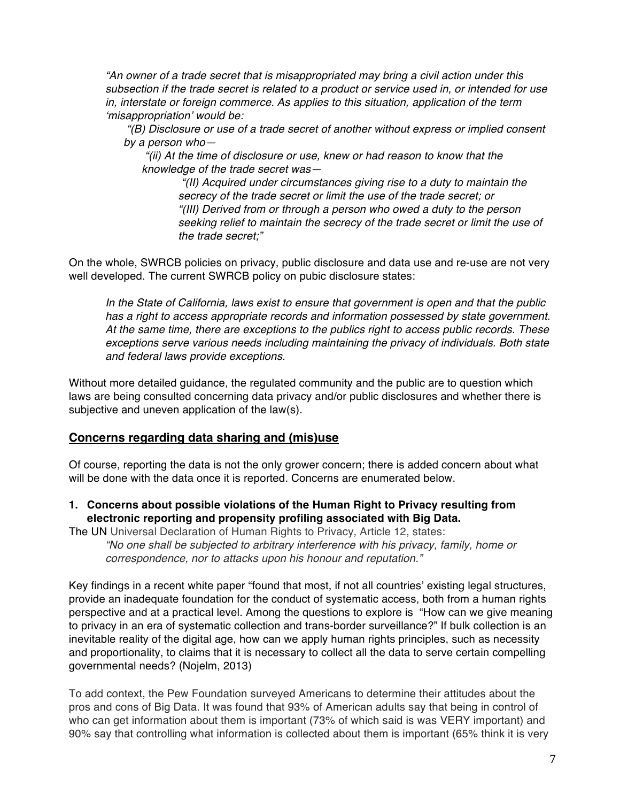*"An owner of a trade secret that is misappropriated may bring a civil action under this subsection if the trade secret is related to a product or service used in, or intended for use in, interstate or foreign commerce. As applies to this situation, application of the term 'misappropriation' would be:*

*"(B) Disclosure or use of a trade secret of another without express or implied consent by a person who—*

*"(ii) At the time of disclosure or use, knew or had reason to know that the knowledge of the trade secret was—*

> *"(II) Acquired under circumstances giving rise to a duty to maintain the secrecy of the trade secret or limit the use of the trade secret; or "(III) Derived from or through a person who owed a duty to the person seeking relief to maintain the secrecy of the trade secret or limit the use of the trade secret;"*

On the whole, SWRCB policies on privacy, public disclosure and data use and re-use are not very well developed. The current SWRCB policy on pubic disclosure states:

*In the State of California, laws exist to ensure that government is open and that the public has a right to access appropriate records and information possessed by state government. At the same time, there are exceptions to the publics right to access public records. These exceptions serve various needs including maintaining the privacy of individuals. Both state and federal laws provide exceptions.*

Without more detailed guidance, the regulated community and the public are to question which laws are being consulted concerning data privacy and/or public disclosures and whether there is subjective and uneven application of the law(s).

#### **Concerns regarding data sharing and (mis)use**

Of course, reporting the data is not the only grower concern; there is added concern about what will be done with the data once it is reported. Concerns are enumerated below.

**1. Concerns about possible violations of the Human Right to Privacy resulting from electronic reporting and propensity profiling associated with Big Data.** 

The UN Universal Declaration of Human Rights to Privacy, Article 12, states: *"No one shall be subjected to arbitrary interference with his privacy, family, home or correspondence, nor to attacks upon his honour and reputation."*

Key findings in a recent white paper "found that most, if not all countries' existing legal structures, provide an inadequate foundation for the conduct of systematic access, both from a human rights perspective and at a practical level. Among the questions to explore is "How can we give meaning to privacy in an era of systematic collection and trans-border surveillance?" If bulk collection is an inevitable reality of the digital age, how can we apply human rights principles, such as necessity and proportionality, to claims that it is necessary to collect all the data to serve certain compelling governmental needs? (Nojelm, 2013)

To add context, the Pew Foundation surveyed Americans to determine their attitudes about the pros and cons of Big Data. It was found that 93% of American adults say that being in control of who can get information about them is important (73% of which said is was VERY important) and 90% say that controlling what information is collected about them is important (65% think it is very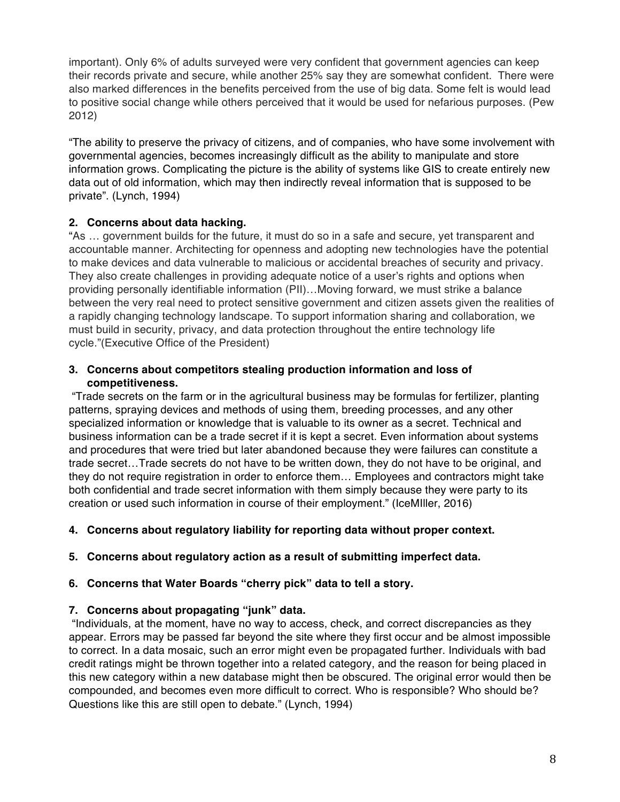important). Only 6% of adults surveyed were very confident that government agencies can keep their records private and secure, while another 25% say they are somewhat confident. There were also marked differences in the benefits perceived from the use of big data. Some felt is would lead to positive social change while others perceived that it would be used for nefarious purposes. (Pew 2012)

"The ability to preserve the privacy of citizens, and of companies, who have some involvement with governmental agencies, becomes increasingly difficult as the ability to manipulate and store information grows. Complicating the picture is the ability of systems like GIS to create entirely new data out of old information, which may then indirectly reveal information that is supposed to be private". (Lynch, 1994)

## **2. Concerns about data hacking.**

"As … government builds for the future, it must do so in a safe and secure, yet transparent and accountable manner. Architecting for openness and adopting new technologies have the potential to make devices and data vulnerable to malicious or accidental breaches of security and privacy. They also create challenges in providing adequate notice of a user's rights and options when providing personally identifiable information (PII)…Moving forward, we must strike a balance between the very real need to protect sensitive government and citizen assets given the realities of a rapidly changing technology landscape. To support information sharing and collaboration, we must build in security, privacy, and data protection throughout the entire technology life cycle."(Executive Office of the President)

### **3. Concerns about competitors stealing production information and loss of competitiveness.**

"Trade secrets on the farm or in the agricultural business may be formulas for fertilizer, planting patterns, spraying devices and methods of using them, breeding processes, and any other specialized information or knowledge that is valuable to its owner as a secret. Technical and business information can be a trade secret if it is kept a secret. Even information about systems and procedures that were tried but later abandoned because they were failures can constitute a trade secret…Trade secrets do not have to be written down, they do not have to be original, and they do not require registration in order to enforce them… Employees and contractors might take both confidential and trade secret information with them simply because they were party to its creation or used such information in course of their employment." (IceMIller, 2016)

## **4. Concerns about regulatory liability for reporting data without proper context.**

## **5. Concerns about regulatory action as a result of submitting imperfect data.**

## **6. Concerns that Water Boards "cherry pick" data to tell a story.**

## **7. Concerns about propagating "junk" data.**

"Individuals, at the moment, have no way to access, check, and correct discrepancies as they appear. Errors may be passed far beyond the site where they first occur and be almost impossible to correct. In a data mosaic, such an error might even be propagated further. Individuals with bad credit ratings might be thrown together into a related category, and the reason for being placed in this new category within a new database might then be obscured. The original error would then be compounded, and becomes even more difficult to correct. Who is responsible? Who should be? Questions like this are still open to debate." (Lynch, 1994)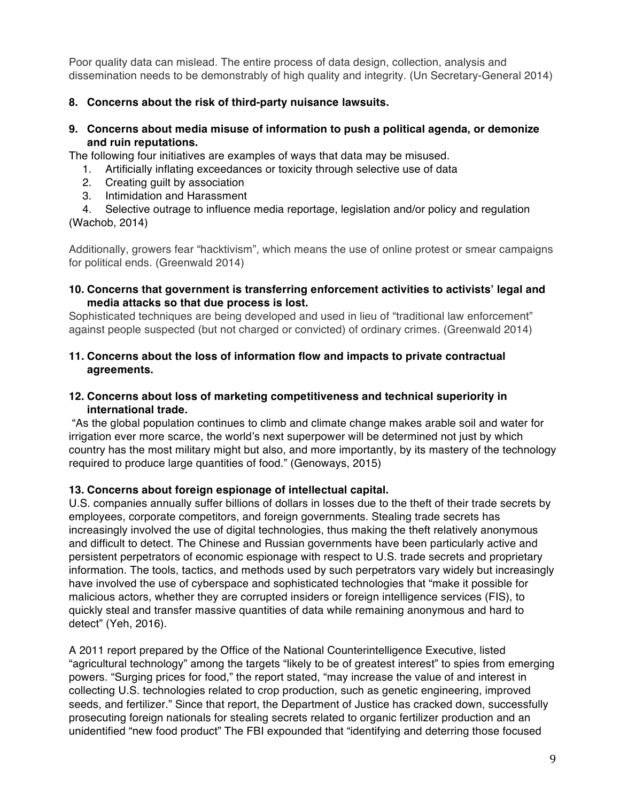Poor quality data can mislead. The entire process of data design, collection, analysis and dissemination needs to be demonstrably of high quality and integrity. (Un Secretary-General 2014)

### **8. Concerns about the risk of third-party nuisance lawsuits.**

#### **9. Concerns about media misuse of information to push a political agenda, or demonize and ruin reputations.**

The following four initiatives are examples of ways that data may be misused.

- 1. Artificially inflating exceedances or toxicity through selective use of data
- 2. Creating guilt by association
- 3. Intimidation and Harassment

4. Selective outrage to influence media reportage, legislation and/or policy and regulation (Wachob, 2014)

Additionally, growers fear "hacktivism", which means the use of online protest or smear campaigns for political ends. (Greenwald 2014)

#### **10. Concerns that government is transferring enforcement activities to activists' legal and media attacks so that due process is lost.**

Sophisticated techniques are being developed and used in lieu of "traditional law enforcement" against people suspected (but not charged or convicted) of ordinary crimes. (Greenwald 2014)

### **11. Concerns about the loss of information flow and impacts to private contractual agreements.**

### **12. Concerns about loss of marketing competitiveness and technical superiority in international trade.**

"As the global population continues to climb and climate change makes arable soil and water for irrigation ever more scarce, the world's next superpower will be determined not just by which country has the most military might but also, and more importantly, by its mastery of the technology required to produce large quantities of food." (Genoways, 2015)

## **13. Concerns about foreign espionage of intellectual capital.**

U.S. companies annually suffer billions of dollars in losses due to the theft of their trade secrets by employees, corporate competitors, and foreign governments. Stealing trade secrets has increasingly involved the use of digital technologies, thus making the theft relatively anonymous and difficult to detect. The Chinese and Russian governments have been particularly active and persistent perpetrators of economic espionage with respect to U.S. trade secrets and proprietary information. The tools, tactics, and methods used by such perpetrators vary widely but increasingly have involved the use of cyberspace and sophisticated technologies that "make it possible for malicious actors, whether they are corrupted insiders or foreign intelligence services (FIS), to quickly steal and transfer massive quantities of data while remaining anonymous and hard to detect" (Yeh, 2016).

A 2011 report prepared by the Office of the National Counterintelligence Executive, listed "agricultural technology" among the targets "likely to be of greatest interest" to spies from emerging powers. "Surging prices for food," the report stated, "may increase the value of and interest in collecting U.S. technologies related to crop production, such as genetic engineering, improved seeds, and fertilizer." Since that report, the Department of Justice has cracked down, successfully prosecuting foreign nationals for stealing secrets related to organic fertilizer production and an unidentified "new food product" The FBI expounded that "identifying and deterring those focused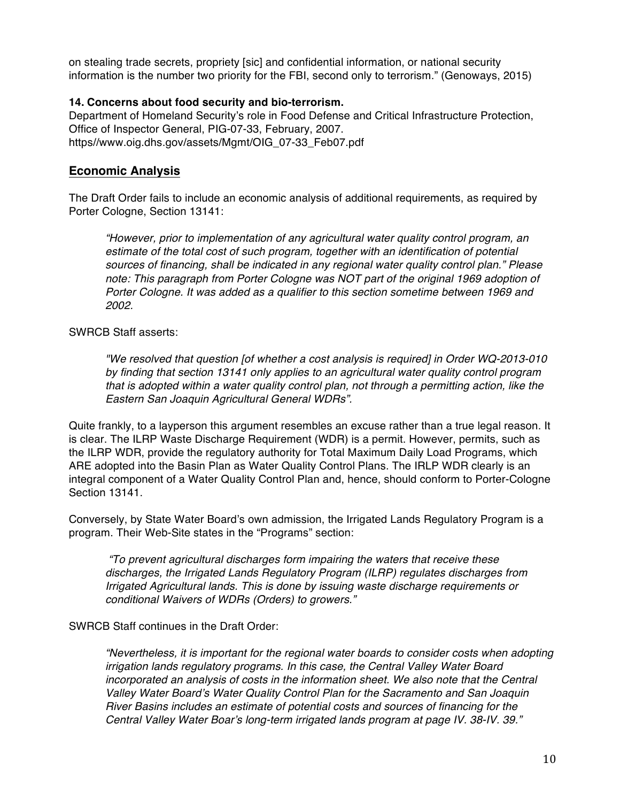on stealing trade secrets, propriety [sic] and confidential information, or national security information is the number two priority for the FBI, second only to terrorism." (Genoways, 2015)

#### **14. Concerns about food security and bio-terrorism.**

Department of Homeland Security's role in Food Defense and Critical Infrastructure Protection, Office of Inspector General, PIG-07-33, February, 2007. https//www.oig.dhs.gov/assets/Mgmt/OIG\_07-33\_Feb07.pdf

### **Economic Analysis**

The Draft Order fails to include an economic analysis of additional requirements, as required by Porter Cologne, Section 13141:

*"However, prior to implementation of any agricultural water quality control program, an estimate of the total cost of such program, together with an identification of potential sources of financing, shall be indicated in any regional water quality control plan." Please note: This paragraph from Porter Cologne was NOT part of the original 1969 adoption of Porter Cologne. It was added as a qualifier to this section sometime between 1969 and 2002.* 

#### SWRCB Staff asserts:

*"We resolved that question [of whether a cost analysis is required] in Order WQ-2013-010 by finding that section 13141 only applies to an agricultural water quality control program that is adopted within a water quality control plan, not through a permitting action, like the Eastern San Joaquin Agricultural General WDRs".* 

Quite frankly, to a layperson this argument resembles an excuse rather than a true legal reason. It is clear. The ILRP Waste Discharge Requirement (WDR) is a permit. However, permits, such as the ILRP WDR, provide the regulatory authority for Total Maximum Daily Load Programs, which ARE adopted into the Basin Plan as Water Quality Control Plans. The IRLP WDR clearly is an integral component of a Water Quality Control Plan and, hence, should conform to Porter-Cologne Section 13141.

Conversely, by State Water Board's own admission, the Irrigated Lands Regulatory Program is a program. Their Web-Site states in the "Programs" section:

*"To prevent agricultural discharges form impairing the waters that receive these discharges, the Irrigated Lands Regulatory Program (ILRP) regulates discharges from Irrigated Agricultural lands. This is done by issuing waste discharge requirements or conditional Waivers of WDRs (Orders) to growers."*

SWRCB Staff continues in the Draft Order:

*"Nevertheless, it is important for the regional water boards to consider costs when adopting irrigation lands regulatory programs. In this case, the Central Valley Water Board incorporated an analysis of costs in the information sheet. We also note that the Central Valley Water Board's Water Quality Control Plan for the Sacramento and San Joaquin River Basins includes an estimate of potential costs and sources of financing for the Central Valley Water Boar's long-term irrigated lands program at page IV. 38-IV. 39."*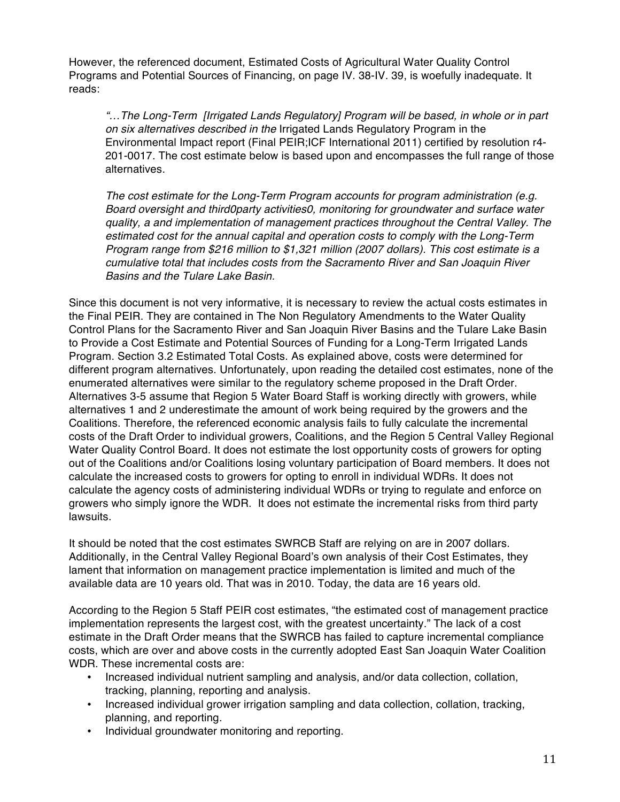However, the referenced document, Estimated Costs of Agricultural Water Quality Control Programs and Potential Sources of Financing, on page IV. 38-IV. 39, is woefully inadequate. It reads:

*"…The Long-Term [Irrigated Lands Regulatory] Program will be based, in whole or in part on six alternatives described in the* Irrigated Lands Regulatory Program in the Environmental Impact report (Final PEIR;ICF International 2011) certified by resolution r4- 201-0017. The cost estimate below is based upon and encompasses the full range of those alternatives.

*The cost estimate for the Long-Term Program accounts for program administration (e.g. Board oversight and third0party activities0, monitoring for groundwater and surface water quality, a and implementation of management practices throughout the Central Valley. The estimated cost for the annual capital and operation costs to comply with the Long-Term Program range from \$216 million to \$1,321 million (2007 dollars). This cost estimate is a cumulative total that includes costs from the Sacramento River and San Joaquin River Basins and the Tulare Lake Basin.* 

Since this document is not very informative, it is necessary to review the actual costs estimates in the Final PEIR. They are contained in The Non Regulatory Amendments to the Water Quality Control Plans for the Sacramento River and San Joaquin River Basins and the Tulare Lake Basin to Provide a Cost Estimate and Potential Sources of Funding for a Long-Term Irrigated Lands Program. Section 3.2 Estimated Total Costs. As explained above, costs were determined for different program alternatives. Unfortunately, upon reading the detailed cost estimates, none of the enumerated alternatives were similar to the regulatory scheme proposed in the Draft Order. Alternatives 3-5 assume that Region 5 Water Board Staff is working directly with growers, while alternatives 1 and 2 underestimate the amount of work being required by the growers and the Coalitions. Therefore, the referenced economic analysis fails to fully calculate the incremental costs of the Draft Order to individual growers, Coalitions, and the Region 5 Central Valley Regional Water Quality Control Board. It does not estimate the lost opportunity costs of growers for opting out of the Coalitions and/or Coalitions losing voluntary participation of Board members. It does not calculate the increased costs to growers for opting to enroll in individual WDRs. It does not calculate the agency costs of administering individual WDRs or trying to regulate and enforce on growers who simply ignore the WDR. It does not estimate the incremental risks from third party lawsuits.

It should be noted that the cost estimates SWRCB Staff are relying on are in 2007 dollars. Additionally, in the Central Valley Regional Board's own analysis of their Cost Estimates, they lament that information on management practice implementation is limited and much of the available data are 10 years old. That was in 2010. Today, the data are 16 years old.

According to the Region 5 Staff PEIR cost estimates, "the estimated cost of management practice implementation represents the largest cost, with the greatest uncertainty." The lack of a cost estimate in the Draft Order means that the SWRCB has failed to capture incremental compliance costs, which are over and above costs in the currently adopted East San Joaquin Water Coalition WDR. These incremental costs are:

- Increased individual nutrient sampling and analysis, and/or data collection, collation, tracking, planning, reporting and analysis.
- Increased individual grower irrigation sampling and data collection, collation, tracking, planning, and reporting.
- Individual groundwater monitoring and reporting.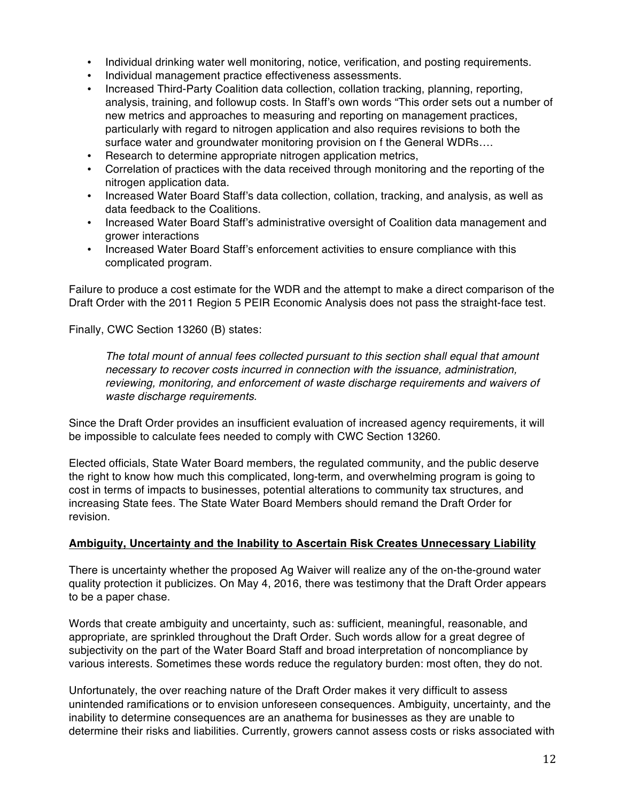- Individual drinking water well monitoring, notice, verification, and posting requirements.
- Individual management practice effectiveness assessments.
- Increased Third-Party Coalition data collection, collation tracking, planning, reporting, analysis, training, and followup costs. In Staff's own words "This order sets out a number of new metrics and approaches to measuring and reporting on management practices, particularly with regard to nitrogen application and also requires revisions to both the surface water and groundwater monitoring provision on f the General WDRs….
- Research to determine appropriate nitrogen application metrics,
- Correlation of practices with the data received through monitoring and the reporting of the nitrogen application data.
- Increased Water Board Staff's data collection, collation, tracking, and analysis, as well as data feedback to the Coalitions.
- Increased Water Board Staff's administrative oversight of Coalition data management and grower interactions
- Increased Water Board Staff's enforcement activities to ensure compliance with this complicated program.

Failure to produce a cost estimate for the WDR and the attempt to make a direct comparison of the Draft Order with the 2011 Region 5 PEIR Economic Analysis does not pass the straight-face test.

Finally, CWC Section 13260 (B) states:

*The total mount of annual fees collected pursuant to this section shall equal that amount necessary to recover costs incurred in connection with the issuance, administration, reviewing, monitoring, and enforcement of waste discharge requirements and waivers of waste discharge requirements.* 

Since the Draft Order provides an insufficient evaluation of increased agency requirements, it will be impossible to calculate fees needed to comply with CWC Section 13260.

Elected officials, State Water Board members, the regulated community, and the public deserve the right to know how much this complicated, long-term, and overwhelming program is going to cost in terms of impacts to businesses, potential alterations to community tax structures, and increasing State fees. The State Water Board Members should remand the Draft Order for revision.

#### **Ambiguity, Uncertainty and the Inability to Ascertain Risk Creates Unnecessary Liability**

There is uncertainty whether the proposed Ag Waiver will realize any of the on-the-ground water quality protection it publicizes. On May 4, 2016, there was testimony that the Draft Order appears to be a paper chase.

Words that create ambiguity and uncertainty, such as: sufficient, meaningful, reasonable, and appropriate, are sprinkled throughout the Draft Order. Such words allow for a great degree of subjectivity on the part of the Water Board Staff and broad interpretation of noncompliance by various interests. Sometimes these words reduce the regulatory burden: most often, they do not.

Unfortunately, the over reaching nature of the Draft Order makes it very difficult to assess unintended ramifications or to envision unforeseen consequences. Ambiguity, uncertainty, and the inability to determine consequences are an anathema for businesses as they are unable to determine their risks and liabilities. Currently, growers cannot assess costs or risks associated with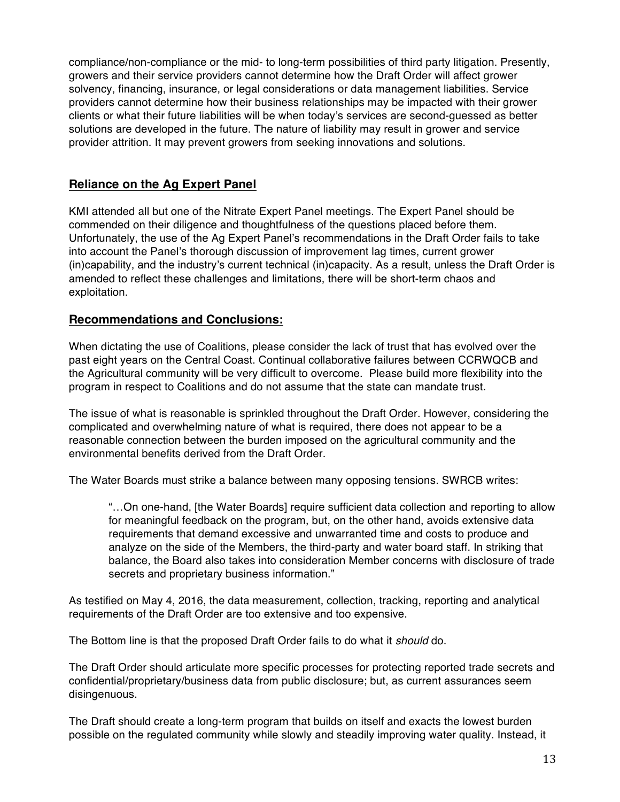compliance/non-compliance or the mid- to long-term possibilities of third party litigation. Presently, growers and their service providers cannot determine how the Draft Order will affect grower solvency, financing, insurance, or legal considerations or data management liabilities. Service providers cannot determine how their business relationships may be impacted with their grower clients or what their future liabilities will be when today's services are second-guessed as better solutions are developed in the future. The nature of liability may result in grower and service provider attrition. It may prevent growers from seeking innovations and solutions.

## **Reliance on the Ag Expert Panel**

KMI attended all but one of the Nitrate Expert Panel meetings. The Expert Panel should be commended on their diligence and thoughtfulness of the questions placed before them. Unfortunately, the use of the Ag Expert Panel's recommendations in the Draft Order fails to take into account the Panel's thorough discussion of improvement lag times, current grower (in)capability, and the industry's current technical (in)capacity. As a result, unless the Draft Order is amended to reflect these challenges and limitations, there will be short-term chaos and exploitation.

## **Recommendations and Conclusions:**

When dictating the use of Coalitions, please consider the lack of trust that has evolved over the past eight years on the Central Coast. Continual collaborative failures between CCRWQCB and the Agricultural community will be very difficult to overcome. Please build more flexibility into the program in respect to Coalitions and do not assume that the state can mandate trust.

The issue of what is reasonable is sprinkled throughout the Draft Order. However, considering the complicated and overwhelming nature of what is required, there does not appear to be a reasonable connection between the burden imposed on the agricultural community and the environmental benefits derived from the Draft Order.

The Water Boards must strike a balance between many opposing tensions. SWRCB writes:

"…On one-hand, [the Water Boards] require sufficient data collection and reporting to allow for meaningful feedback on the program, but, on the other hand, avoids extensive data requirements that demand excessive and unwarranted time and costs to produce and analyze on the side of the Members, the third-party and water board staff. In striking that balance, the Board also takes into consideration Member concerns with disclosure of trade secrets and proprietary business information."

As testified on May 4, 2016, the data measurement, collection, tracking, reporting and analytical requirements of the Draft Order are too extensive and too expensive.

The Bottom line is that the proposed Draft Order fails to do what it *should* do.

The Draft Order should articulate more specific processes for protecting reported trade secrets and confidential/proprietary/business data from public disclosure; but, as current assurances seem disingenuous.

The Draft should create a long-term program that builds on itself and exacts the lowest burden possible on the regulated community while slowly and steadily improving water quality. Instead, it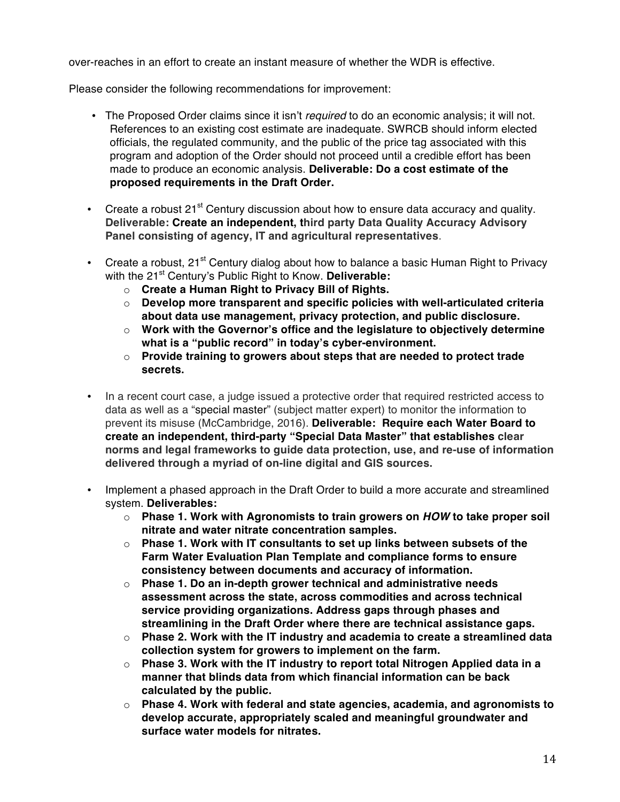over-reaches in an effort to create an instant measure of whether the WDR is effective.

Please consider the following recommendations for improvement:

- The Proposed Order claims since it isn't *required* to do an economic analysis; it will not. References to an existing cost estimate are inadequate. SWRCB should inform elected officials, the regulated community, and the public of the price tag associated with this program and adoption of the Order should not proceed until a credible effort has been made to produce an economic analysis. **Deliverable: Do a cost estimate of the proposed requirements in the Draft Order.**
- Create a robust 21<sup>st</sup> Century discussion about how to ensure data accuracy and quality. **Deliverable: Create an independent, third party Data Quality Accuracy Advisory Panel consisting of agency, IT and agricultural representatives**.
- Create a robust, 21<sup>st</sup> Century dialog about how to balance a basic Human Right to Privacy with the 21<sup>st</sup> Century's Public Right to Know. Deliverable:
	- o **Create a Human Right to Privacy Bill of Rights.**
	- o **Develop more transparent and specific policies with well-articulated criteria about data use management, privacy protection, and public disclosure.**
	- o **Work with the Governor's office and the legislature to objectively determine what is a "public record" in today's cyber-environment.**
	- o **Provide training to growers about steps that are needed to protect trade secrets.**
- In a recent court case, a judge issued a protective order that required restricted access to data as well as a "special master" (subject matter expert) to monitor the information to prevent its misuse (McCambridge, 2016). **Deliverable: Require each Water Board to create an independent, third-party "Special Data Master" that establishes clear norms and legal frameworks to guide data protection, use, and re-use of information delivered through a myriad of on-line digital and GIS sources.**
- Implement a phased approach in the Draft Order to build a more accurate and streamlined system. **Deliverables:** 
	- o **Phase 1. Work with Agronomists to train growers on** *HOW* **to take proper soil nitrate and water nitrate concentration samples.**
	- o **Phase 1. Work with IT consultants to set up links between subsets of the Farm Water Evaluation Plan Template and compliance forms to ensure consistency between documents and accuracy of information.**
	- o **Phase 1. Do an in-depth grower technical and administrative needs assessment across the state, across commodities and across technical service providing organizations. Address gaps through phases and streamlining in the Draft Order where there are technical assistance gaps.**
	- o **Phase 2. Work with the IT industry and academia to create a streamlined data collection system for growers to implement on the farm.**
	- o **Phase 3. Work with the IT industry to report total Nitrogen Applied data in a manner that blinds data from which financial information can be back calculated by the public.**
	- o **Phase 4. Work with federal and state agencies, academia, and agronomists to develop accurate, appropriately scaled and meaningful groundwater and surface water models for nitrates.**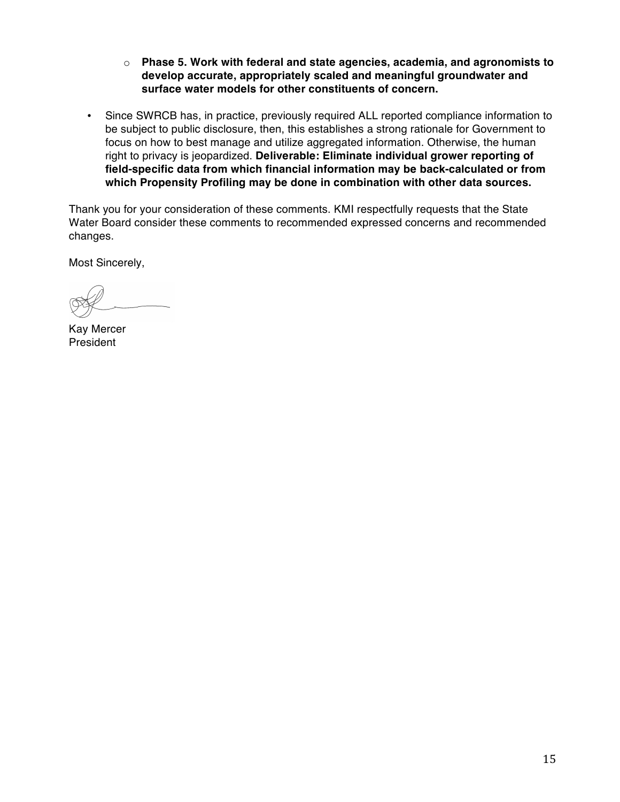- o **Phase 5. Work with federal and state agencies, academia, and agronomists to develop accurate, appropriately scaled and meaningful groundwater and surface water models for other constituents of concern.**
- Since SWRCB has, in practice, previously required ALL reported compliance information to be subject to public disclosure, then, this establishes a strong rationale for Government to focus on how to best manage and utilize aggregated information. Otherwise, the human right to privacy is jeopardized. **Deliverable: Eliminate individual grower reporting of field-specific data from which financial information may be back-calculated or from which Propensity Profiling may be done in combination with other data sources.**

Thank you for your consideration of these comments. KMI respectfully requests that the State Water Board consider these comments to recommended expressed concerns and recommended changes.

Most Sincerely,

Kay Mercer President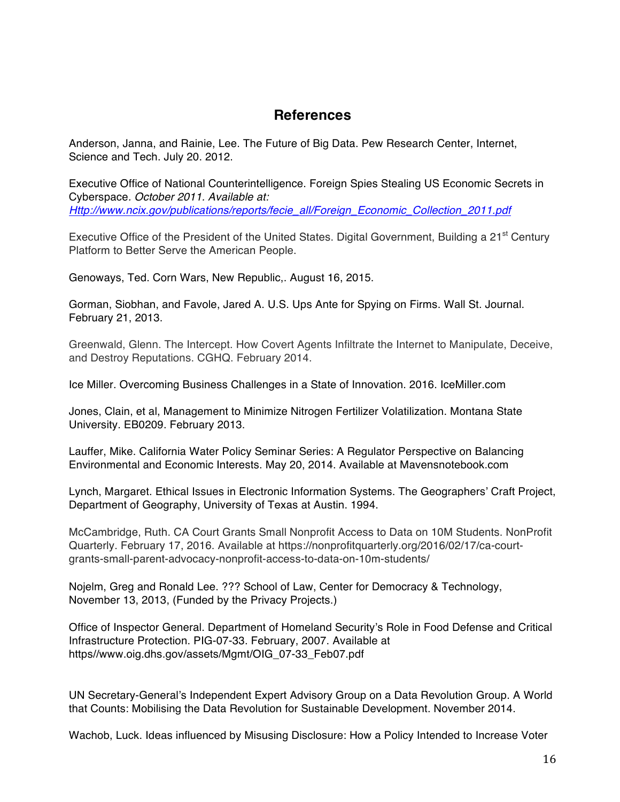# **References**

Anderson, Janna, and Rainie, Lee. The Future of Big Data. Pew Research Center, Internet, Science and Tech. July 20. 2012.

Executive Office of National Counterintelligence. Foreign Spies Stealing US Economic Secrets in Cyberspace*. October 2011. Available at: Http://www.ncix.gov/publications/reports/fecie\_all/Foreign\_Economic\_Collection\_2011.pdf*

Executive Office of the President of the United States. Digital Government, Building a 21<sup>st</sup> Century Platform to Better Serve the American People.

Genoways, Ted. Corn Wars, New Republic,. August 16, 2015.

Gorman, Siobhan, and Favole, Jared A. U.S. Ups Ante for Spying on Firms. Wall St. Journal. February 21, 2013.

Greenwald, Glenn. The Intercept. How Covert Agents Infiltrate the Internet to Manipulate, Deceive, and Destroy Reputations. CGHQ. February 2014.

Ice Miller. Overcoming Business Challenges in a State of Innovation. 2016. IceMiller.com

Jones, Clain, et al, Management to Minimize Nitrogen Fertilizer Volatilization. Montana State University. EB0209. February 2013.

Lauffer, Mike. California Water Policy Seminar Series: A Regulator Perspective on Balancing Environmental and Economic Interests. May 20, 2014. Available at Mavensnotebook.com

Lynch, Margaret. Ethical Issues in Electronic Information Systems. The Geographers' Craft Project, Department of Geography, University of Texas at Austin. 1994.

McCambridge, Ruth. CA Court Grants Small Nonprofit Access to Data on 10M Students. NonProfit Quarterly. February 17, 2016. Available at https://nonprofitquarterly.org/2016/02/17/ca-courtgrants-small-parent-advocacy-nonprofit-access-to-data-on-10m-students/

Nojelm, Greg and Ronald Lee. ??? School of Law, Center for Democracy & Technology, November 13, 2013, (Funded by the Privacy Projects.)

Office of Inspector General. Department of Homeland Security's Role in Food Defense and Critical Infrastructure Protection. PIG-07-33. February, 2007. Available at https//www.oig.dhs.gov/assets/Mgmt/OIG\_07-33\_Feb07.pdf

UN Secretary-General's Independent Expert Advisory Group on a Data Revolution Group. A World that Counts: Mobilising the Data Revolution for Sustainable Development. November 2014.

Wachob, Luck. Ideas influenced by Misusing Disclosure: How a Policy Intended to Increase Voter